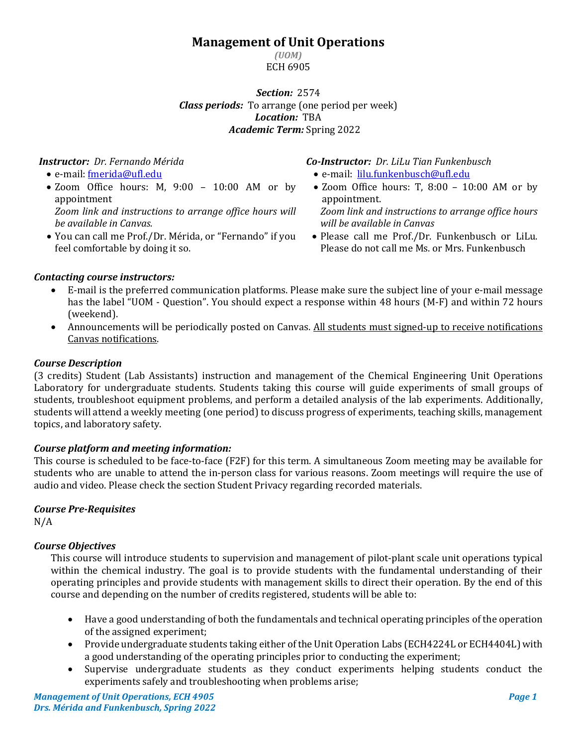# **Management of Unit Operations**

*(UOM)* ECH 6905

*Section:* 2574 *Class periods:* To arrange (one period per week) *Location:* TBA *Academic Term:* Spring 2022

# *Instructor: Dr. Fernando Mérida*

- e-mail: [fmerida@ufl.edu](mailto:fmerida@ufl.edu)
- Zoom Office hours: M, 9:00 10:00 AM or by appointment *Zoom link and instructions to arrange office hours will be available in Canvas.*
- You can call me Prof./Dr. Mérida, or "Fernando" if you feel comfortable by doing it so.

*Co-Instructor: Dr. LiLu Tian Funkenbusch*

- e-mail: [lilu.funkenbusch@ufl.edu](mailto:lilu.funkenbusch@ufl.edu)
- Zoom Office hours: T, 8:00 10:00 AM or by appointment.

*Zoom link and instructions to arrange office hours will be available in Canvas*

• Please call me Prof./Dr. Funkenbusch or LiLu. Please do not call me Ms. or Mrs. Funkenbusch

## *Contacting course instructors:*

- E-mail is the preferred communication platforms. Please make sure the subject line of your e-mail message has the label "UOM - Question". You should expect a response within 48 hours (M-F) and within 72 hours (weekend).
- Announcements will be periodically posted on Canvas. All students must signed-up to receive notifications Canvas notifications.

## *Course Description*

(3 credits) Student (Lab Assistants) instruction and management of the Chemical Engineering Unit Operations Laboratory for undergraduate students. Students taking this course will guide experiments of small groups of students, troubleshoot equipment problems, and perform a detailed analysis of the lab experiments. Additionally, students will attend a weekly meeting (one period) to discuss progress of experiments, teaching skills, management topics, and laboratory safety.

## *Course platform and meeting information:*

This course is scheduled to be face-to-face (F2F) for this term. A simultaneous Zoom meeting may be available for students who are unable to attend the in-person class for various reasons. Zoom meetings will require the use of audio and video. Please check the section Student Privacy regarding recorded materials.

## *Course Pre-Requisites*

N/A

# *Course Objectives*

This course will introduce students to supervision and management of pilot-plant scale unit operations typical within the chemical industry. The goal is to provide students with the fundamental understanding of their operating principles and provide students with management skills to direct their operation. By the end of this course and depending on the number of credits registered, students will be able to:

- Have a good understanding of both the fundamentals and technical operating principles of the operation of the assigned experiment;
- Provide undergraduate students taking either of the Unit Operation Labs (ECH4224L or ECH4404L) with a good understanding of the operating principles prior to conducting the experiment;
- Supervise undergraduate students as they conduct experiments helping students conduct the experiments safely and troubleshooting when problems arise;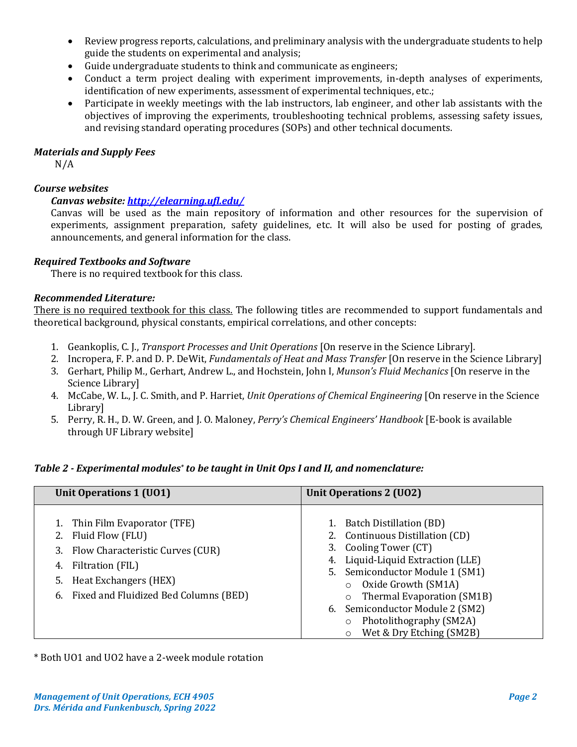- Review progress reports, calculations, and preliminary analysis with the undergraduate students to help guide the students on experimental and analysis;
- Guide undergraduate students to think and communicate as engineers;
- Conduct a term project dealing with experiment improvements, in-depth analyses of experiments, identification of new experiments, assessment of experimental techniques, etc.;
- Participate in weekly meetings with the lab instructors, lab engineer, and other lab assistants with the objectives of improving the experiments, troubleshooting technical problems, assessing safety issues, and revising standard operating procedures (SOPs) and other technical documents.

## *Materials and Supply Fees*

N/A

# *Course websites*

# *Canvas website:<http://elearning.ufl.edu/>*

Canvas will be used as the main repository of information and other resources for the supervision of experiments, assignment preparation, safety guidelines, etc. It will also be used for posting of grades, announcements, and general information for the class.

# *Required Textbooks and Software*

There is no required textbook for this class.

# *Recommended Literature:*

There is no required textbook for this class. The following titles are recommended to support fundamentals and theoretical background, physical constants, empirical correlations, and other concepts:

- 1. Geankoplis, C. J., *Transport Processes and Unit Operations* [On reserve in the Science Library].
- 2. Incropera, F. P. and D. P. DeWit, *Fundamentals of Heat and Mass Transfer* [On reserve in the Science Library]
- 3. Gerhart, Philip M., Gerhart, Andrew L., and Hochstein, John I, *Munson's Fluid Mechanics* [On reserve in the Science Library]
- 4. McCabe, W. L., J. C. Smith, and P. Harriet, *Unit Operations of Chemical Engineering* [On reserve in the Science Library]
- 5. Perry, R. H., D. W. Green, and J. O. Maloney, *Perry's Chemical Engineers' Handbook* [E-book is available through UF Library website]

## *Table 2 - Experimental modules\* to be taught in Unit Ops I and II, and nomenclature:*

| Unit Operations 1 (UO1)                                                                                                                                                                    | <b>Unit Operations 2 (UO2)</b>                                                                                                                                                                                                                                                                                                      |  |  |
|--------------------------------------------------------------------------------------------------------------------------------------------------------------------------------------------|-------------------------------------------------------------------------------------------------------------------------------------------------------------------------------------------------------------------------------------------------------------------------------------------------------------------------------------|--|--|
| 1. Thin Film Evaporator (TFE)<br>2. Fluid Flow (FLU)<br>3. Flow Characteristic Curves (CUR)<br>4. Filtration (FIL)<br>5. Heat Exchangers (HEX)<br>6. Fixed and Fluidized Bed Columns (BED) | 1. Batch Distillation (BD)<br>2. Continuous Distillation (CD)<br>3. Cooling Tower (CT)<br>4. Liquid-Liquid Extraction (LLE)<br>5. Semiconductor Module 1 (SM1)<br>Oxide Growth (SM1A)<br>Thermal Evaporation (SM1B)<br>6. Semiconductor Module 2 (SM2)<br>Photolithography (SM2A)<br>$\circ$<br>Wet & Dry Etching (SM2B)<br>$\circ$ |  |  |

\* Both UO1 and UO2 have a 2-week module rotation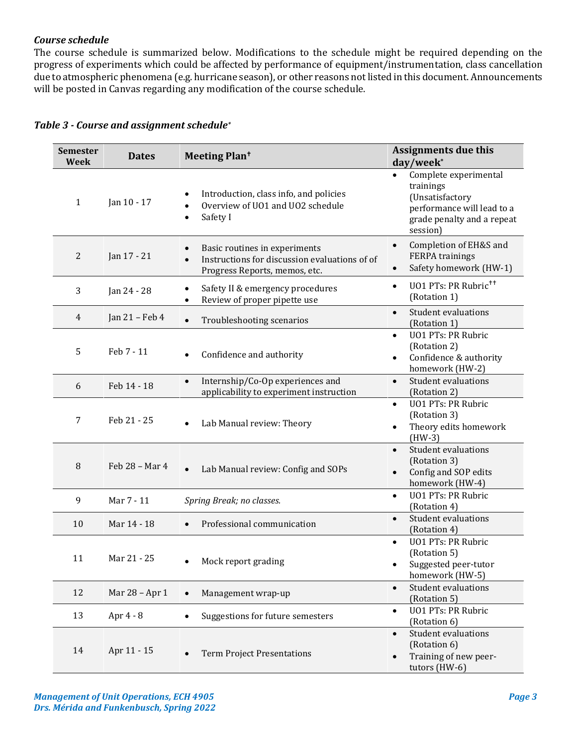## *Course schedule*

The course schedule is summarized below. Modifications to the schedule might be required depending on the progress of experiments which could be affected by performance of equipment/instrumentation, class cancellation due to atmospheric phenomena (e.g. hurricane season), or other reasons not listed in this document. Announcements will be posted in Canvas regarding any modification of the course schedule.

| <b>Semester</b><br>Week | <b>Dates</b>   | Meeting Plan <sup>t</sup>                                                                                        | Assignments due this<br>day/week*                                                                                                          |
|-------------------------|----------------|------------------------------------------------------------------------------------------------------------------|--------------------------------------------------------------------------------------------------------------------------------------------|
| $\mathbf{1}$            | Jan 10 - 17    | Introduction, class info, and policies<br>Overview of UO1 and UO2 schedule<br>$\bullet$<br>Safety I<br>$\bullet$ | Complete experimental<br>$\bullet$<br>trainings<br>(Unsatisfactory<br>performance will lead to a<br>grade penalty and a repeat<br>session) |
| $\overline{2}$          | Jan 17 - 21    | Basic routines in experiments<br>Instructions for discussion evaluations of of<br>Progress Reports, memos, etc.  | Completion of EH&S and<br>$\bullet$<br>FERPA trainings<br>Safety homework (HW-1)<br>$\bullet$                                              |
| 3                       | Jan 24 - 28    | Safety II & emergency procedures<br>٠<br>Review of proper pipette use                                            | U01 PTs: PR Rubric <sup>++</sup><br>$\bullet$<br>(Rotation 1)                                                                              |
| 4                       | Jan 21 - Feb 4 | Troubleshooting scenarios<br>$\bullet$                                                                           | <b>Student evaluations</b><br>$\bullet$<br>(Rotation 1)                                                                                    |
| 5                       | Feb 7 - 11     | Confidence and authority                                                                                         | <b>UO1 PTs: PR Rubric</b><br>$\bullet$<br>(Rotation 2)<br>Confidence & authority<br>$\bullet$<br>homework (HW-2)                           |
| 6                       | Feb 14 - 18    | Internship/Co-Op experiences and<br>$\bullet$<br>applicability to experiment instruction                         | Student evaluations<br>$\bullet$<br>(Rotation 2)                                                                                           |
| 7                       | Feb 21 - 25    | Lab Manual review: Theory                                                                                        | <b>UO1 PTs: PR Rubric</b><br>$\bullet$<br>(Rotation 3)<br>Theory edits homework<br>$\bullet$<br>$(HW-3)$                                   |
| 8                       | Feb 28 - Mar 4 | Lab Manual review: Config and SOPs                                                                               | <b>Student evaluations</b><br>$\bullet$<br>(Rotation 3)<br>Config and SOP edits<br>$\bullet$<br>homework (HW-4)                            |
| 9                       | Mar 7 - 11     | Spring Break; no classes.                                                                                        | <b>UO1 PTs: PR Rubric</b><br>$\bullet$<br>(Rotation 4)                                                                                     |
| 10                      | Mar 14 - 18    | Professional communication                                                                                       | <b>Student evaluations</b><br>$\bullet$<br>(Rotation 4)                                                                                    |
| 11                      | Mar 21 - 25    | Mock report grading                                                                                              | <b>UO1 PTs: PR Rubric</b><br>$\bullet$<br>(Rotation 5)<br>Suggested peer-tutor<br>homework (HW-5)                                          |
| 12                      | Mar 28 - Apr 1 | Management wrap-up                                                                                               | <b>Student evaluations</b><br>$\bullet$<br>(Rotation 5)                                                                                    |
| 13                      | Apr 4 - 8      | Suggestions for future semesters                                                                                 | <b>UO1 PTs: PR Rubric</b><br>$\bullet$<br>(Rotation 6)                                                                                     |
| 14                      | Apr 11 - 15    | <b>Term Project Presentations</b>                                                                                | Student evaluations<br>$\bullet$<br>(Rotation 6)<br>Training of new peer-<br>$\bullet$<br>tutors (HW-6)                                    |

|  |  | Table 3 - Course and assignment schedule* |  |  |  |  |  |
|--|--|-------------------------------------------|--|--|--|--|--|
|--|--|-------------------------------------------|--|--|--|--|--|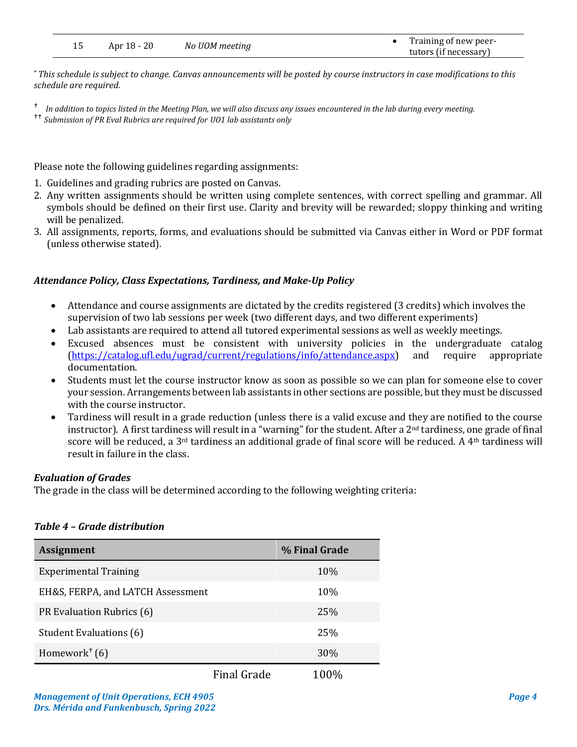| Apr 18 - 20 | No UOM meeting | Training of new peer- |
|-------------|----------------|-----------------------|
|             |                | tutors (if necessary) |

\* *This schedule is subject to change. Canvas announcements will be posted by course instructors in case modifications to this schedule are required.*

*In addition to topics listed in the Meeting Plan, we will also discuss any issues encountered in the lab during every meeting.*

Please note the following guidelines regarding assignments:

- 1. Guidelines and grading rubrics are posted on Canvas.
- 2. Any written assignments should be written using complete sentences, with correct spelling and grammar. All symbols should be defined on their first use. Clarity and brevity will be rewarded; sloppy thinking and writing will be penalized.
- 3. All assignments, reports, forms, and evaluations should be submitted via Canvas either in Word or PDF format (unless otherwise stated).

## *Attendance Policy, Class Expectations, Tardiness, and Make-Up Policy*

- Attendance and course assignments are dictated by the credits registered (3 credits) which involves the supervision of two lab sessions per week (two different days, and two different experiments)
- Lab assistants are required to attend all tutored experimental sessions as well as weekly meetings.
- Excused absences must be consistent with university policies in the undergraduate catalog [\(https://catalog.ufl.edu/ugrad/current/regulations/info/attendance.aspx\)](https://catalog.ufl.edu/ugrad/current/regulations/info/attendance.aspx) and require appropriate documentation.
- Students must let the course instructor know as soon as possible so we can plan for someone else to cover your session. Arrangements between lab assistants in other sections are possible, but they must be discussed with the course instructor.
- Tardiness will result in a grade reduction (unless there is a valid excuse and they are notified to the course instructor). A first tardiness will result in a "warning" for the student. After a 2<sup>nd</sup> tardiness, one grade of final score will be reduced, a 3<sup>rd</sup> tardiness an additional grade of final score will be reduced. A 4<sup>th</sup> tardiness will result in failure in the class.

## *Evaluation of Grades*

The grade in the class will be determined according to the following weighting criteria:

#### *Table 4 – Grade distribution*

| <b>Assignment</b>                      |                    | % Final Grade |
|----------------------------------------|--------------------|---------------|
| <b>Experimental Training</b>           |                    | 10%           |
| EH&S, FERPA, and LATCH Assessment      |                    | 10%           |
| PR Evaluation Rubrics (6)              |                    | <b>25%</b>    |
| Student Evaluations (6)                |                    | 25%           |
| Homework <sup><math>+</math></sup> (6) |                    | 30%           |
|                                        | <b>Final Grade</b> | 100%          |

*Submission of PR Eval Rubrics are required for UO1 lab assistants only*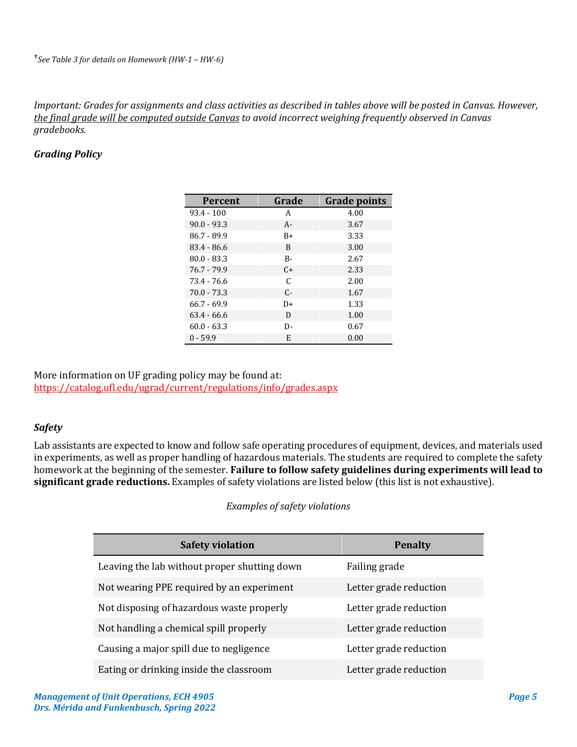*Important: Grades for assignments and class activities as described in tables above will be posted in Canvas. However, the final grade will be computed outside Canvas to avoid incorrect weighing frequently observed in Canvas gradebooks.*

## *Grading Policy*

| <b>Percent</b> | Grade     | <b>Grade points</b> |
|----------------|-----------|---------------------|
| $93.4 - 100$   | A         | 4.00                |
| $90.0 - 93.3$  | $A -$     | 3.67                |
| $86.7 - 89.9$  | $B+$      | 3.33                |
| $83.4 - 86.6$  | B         | 3.00                |
| $80.0 - 83.3$  | $B -$     | 2.67                |
| $76.7 - 79.9$  | $C_{\pm}$ | 2.33                |
| 73.4 - 76.6    | C         | 2.00                |
| $70.0 - 73.3$  | $C-$      | 1.67                |
| $66.7 - 69.9$  | D+        | 1.33                |
| $63.4 - 66.6$  | D         | 1.00                |
| $60.0 - 63.3$  | D-        | 0.67                |
| $0 - 59.9$     | E         | 0.00                |

More information on UF grading policy may be found at: <https://catalog.ufl.edu/ugrad/current/regulations/info/grades.aspx>

#### *Safety*

Lab assistants are expected to know and follow safe operating procedures of equipment, devices, and materials used in experiments, as well as proper handling of hazardous materials. The students are required to complete the safety homework at the beginning of the semester. **Failure to follow safety guidelines during experiments will lead to significant grade reductions.** Examples of safety violations are listed below (this list is not exhaustive).

#### *Examples of safety violations*

| <b>Safety violation</b>                      | <b>Penalty</b>         |
|----------------------------------------------|------------------------|
| Leaving the lab without proper shutting down | Failing grade          |
| Not wearing PPE required by an experiment    | Letter grade reduction |
| Not disposing of hazardous waste properly    | Letter grade reduction |
| Not handling a chemical spill properly       | Letter grade reduction |
| Causing a major spill due to negligence      | Letter grade reduction |
| Eating or drinking inside the classroom      | Letter grade reduction |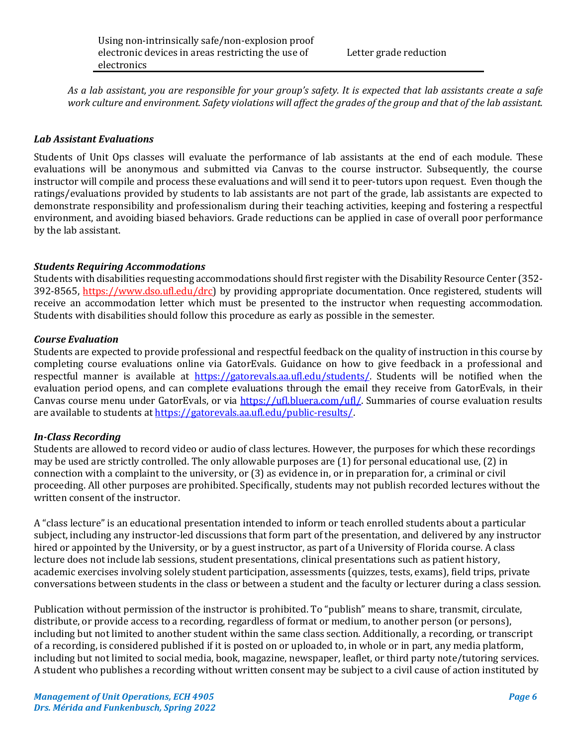Letter grade reduction

*As a lab assistant, you are responsible for your group's safety. It is expected that lab assistants create a safe work culture and environment. Safety violations will affect the grades of the group and that of the lab assistant.*

## *Lab Assistant Evaluations*

Students of Unit Ops classes will evaluate the performance of lab assistants at the end of each module. These evaluations will be anonymous and submitted via Canvas to the course instructor. Subsequently, the course instructor will compile and process these evaluations and will send it to peer-tutors upon request. Even though the ratings/evaluations provided by students to lab assistants are not part of the grade, lab assistants are expected to demonstrate responsibility and professionalism during their teaching activities, keeping and fostering a respectful environment, and avoiding biased behaviors. Grade reductions can be applied in case of overall poor performance by the lab assistant.

### *Students Requiring Accommodations*

Students with disabilities requesting accommodations should first register with the Disability Resource Center (352- 392-8565, https://www.dso.ufl.edu/drc) by providing appropriate documentation. Once registered, students will receive an accommodation letter which must be presented to the instructor when requesting accommodation. Students with disabilities should follow this procedure as early as possible in the semester.

### *Course Evaluation*

Students are expected to provide professional and respectful feedback on the quality of instruction in this course by completing course evaluations online via GatorEvals. Guidance on how to give feedback in a professional and respectful manner is available at [https://gatorevals.aa.ufl.edu/students/.](https://gatorevals.aa.ufl.edu/students/) Students will be notified when the evaluation period opens, and can complete evaluations through the email they receive from GatorEvals, in their Canvas course menu under GatorEvals, or via [https://ufl.bluera.com/ufl/.](https://ufl.bluera.com/ufl/) Summaries of course evaluation results are available to students a[t https://gatorevals.aa.ufl.edu/public-results/.](https://gatorevals.aa.ufl.edu/public-results/)

## *In-Class Recording*

Students are allowed to record video or audio of class lectures. However, the purposes for which these recordings may be used are strictly controlled. The only allowable purposes are (1) for personal educational use, (2) in connection with a complaint to the university, or (3) as evidence in, or in preparation for, a criminal or civil proceeding. All other purposes are prohibited. Specifically, students may not publish recorded lectures without the written consent of the instructor.

A "class lecture" is an educational presentation intended to inform or teach enrolled students about a particular subject, including any instructor-led discussions that form part of the presentation, and delivered by any instructor hired or appointed by the University, or by a guest instructor, as part of a University of Florida course. A class lecture does not include lab sessions, student presentations, clinical presentations such as patient history, academic exercises involving solely student participation, assessments (quizzes, tests, exams), field trips, private conversations between students in the class or between a student and the faculty or lecturer during a class session.

Publication without permission of the instructor is prohibited. To "publish" means to share, transmit, circulate, distribute, or provide access to a recording, regardless of format or medium, to another person (or persons), including but not limited to another student within the same class section. Additionally, a recording, or transcript of a recording, is considered published if it is posted on or uploaded to, in whole or in part, any media platform, including but not limited to social media, book, magazine, newspaper, leaflet, or third party note/tutoring services. A student who publishes a recording without written consent may be subject to a civil cause of action instituted by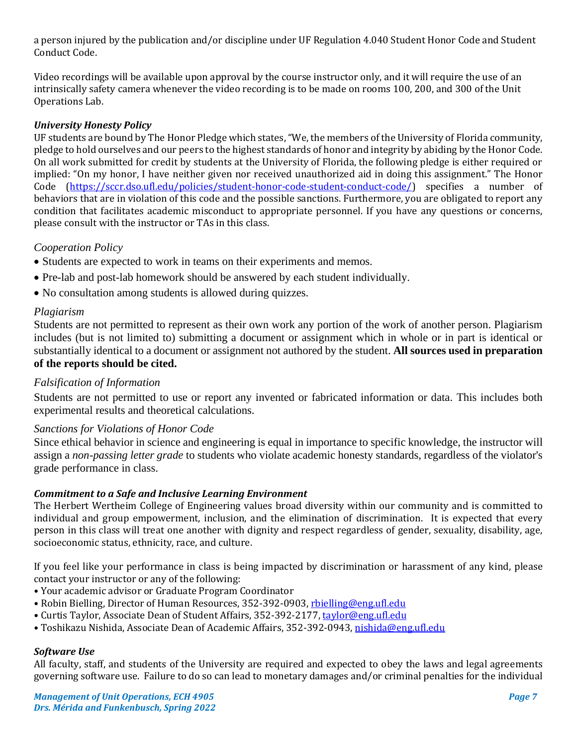a person injured by the publication and/or discipline under UF Regulation 4.040 Student Honor Code and Student Conduct Code.

Video recordings will be available upon approval by the course instructor only, and it will require the use of an intrinsically safety camera whenever the video recording is to be made on rooms 100, 200, and 300 of the Unit Operations Lab.

## *University Honesty Policy*

UF students are bound by The Honor Pledge which states, "We, the members of the University of Florida community, pledge to hold ourselves and our peers to the highest standards of honor and integrity by abiding by the Honor Code. On all work submitted for credit by students at the University of Florida, the following pledge is either required or implied: "On my honor, I have neither given nor received unauthorized aid in doing this assignment." The Honor Code [\(https://sccr.dso.ufl.edu/policies/student-honor-code-student-conduct-code/\)](https://sccr.dso.ufl.edu/policies/student-honor-code-student-conduct-code/) specifies a number of behaviors that are in violation of this code and the possible sanctions. Furthermore, you are obligated to report any condition that facilitates academic misconduct to appropriate personnel. If you have any questions or concerns, please consult with the instructor or TAs in this class.

### *Cooperation Policy*

- Students are expected to work in teams on their experiments and memos.
- Pre-lab and post-lab homework should be answered by each student individually.
- No consultation among students is allowed during quizzes.

#### *Plagiarism*

Students are not permitted to represent as their own work any portion of the work of another person. Plagiarism includes (but is not limited to) submitting a document or assignment which in whole or in part is identical or substantially identical to a document or assignment not authored by the student. **All sources used in preparation of the reports should be cited.**

## *Falsification of Information*

Students are not permitted to use or report any invented or fabricated information or data. This includes both experimental results and theoretical calculations.

#### *Sanctions for Violations of Honor Code*

Since ethical behavior in science and engineering is equal in importance to specific knowledge, the instructor will assign a *non-passing letter grade* to students who violate academic honesty standards, regardless of the violator's grade performance in class.

#### *Commitment to a Safe and Inclusive Learning Environment*

The Herbert Wertheim College of Engineering values broad diversity within our community and is committed to individual and group empowerment, inclusion, and the elimination of discrimination. It is expected that every person in this class will treat one another with dignity and respect regardless of gender, sexuality, disability, age, socioeconomic status, ethnicity, race, and culture.

If you feel like your performance in class is being impacted by discrimination or harassment of any kind, please contact your instructor or any of the following:

- Your academic advisor or Graduate Program Coordinator
- Robin Bielling, Director of Human Resources, 352-392-0903, [rbielling@eng.ufl.edu](mailto:rbielling@eng.ufl.edu)
- Curtis Taylor, Associate Dean of Student Affairs, 352-392-2177[, taylor@eng.ufl.edu](mailto:taylor@eng.ufl.edu)
- Toshikazu Nishida, Associate Dean of Academic Affairs, 352-392-0943[, nishida@eng.ufl.edu](mailto:nishida@eng.ufl.edu)

#### *Software Use*

All faculty, staff, and students of the University are required and expected to obey the laws and legal agreements governing software use. Failure to do so can lead to monetary damages and/or criminal penalties for the individual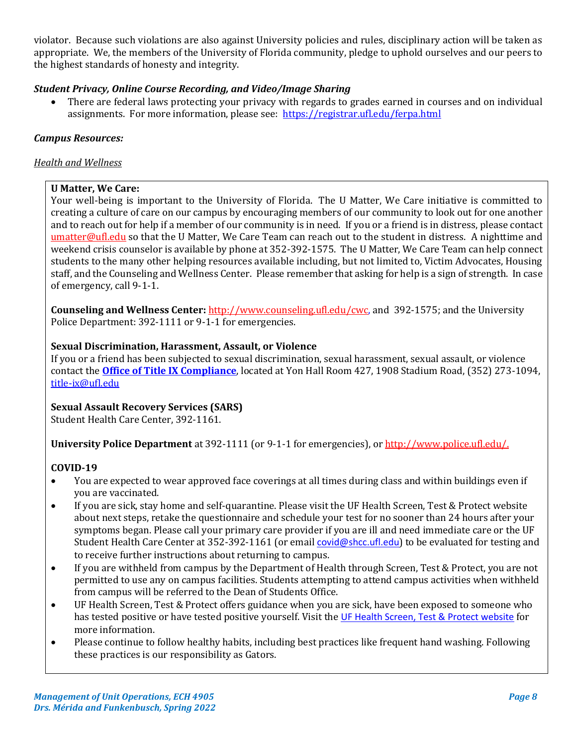violator. Because such violations are also against University policies and rules, disciplinary action will be taken as appropriate. We, the members of the University of Florida community, pledge to uphold ourselves and our peers to the highest standards of honesty and integrity.

## *Student Privacy, Online Course Recording, and Video/Image Sharing*

• There are federal laws protecting your privacy with regards to grades earned in courses and on individual assignments. For more information, please see: <https://registrar.ufl.edu/ferpa.html>

# *Campus Resources:*

## *Health and Wellness*

# **U Matter, We Care:**

Your well-being is important to the University of Florida. The U Matter, We Care initiative is committed to creating a culture of care on our campus by encouraging members of our community to look out for one another and to reach out for help if a member of our community is in need. If you or a friend is in distress, please contact [umatter@ufl.edu](mailto:umatter@ufl.edu) so that the U Matter, We Care Team can reach out to the student in distress. A nighttime and weekend crisis counselor is available by phone at 352-392-1575. The U Matter, We Care Team can help connect students to the many other helping resources available including, but not limited to, Victim Advocates, Housing staff, and the Counseling and Wellness Center. Please remember that asking for help is a sign of strength. In case of emergency, call 9-1-1.

**Counseling and Wellness Center:** [http://www.counseling.ufl.edu/cwc,](http://www.counseling.ufl.edu/cwc) and 392-1575; and the University Police Department: 392-1111 or 9-1-1 for emergencies.

# **Sexual Discrimination, Harassment, Assault, or Violence**

If you or a friend has been subjected to sexual discrimination, sexual harassment, sexual assault, or violence contact the **[Office of Title IX Compliance](https://titleix.ufl.edu/)**, located at Yon Hall Room 427, 1908 Stadium Road, (352) 273-1094, [title-ix@ufl.edu](mailto:title-ix@ufl.edu)

# **Sexual Assault Recovery Services (SARS)**

Student Health Care Center, 392-1161.

**University Police Department** at 392-1111 (or 9-1-1 for emergencies), o[r http://www.police.ufl.edu/.](http://www.police.ufl.edu/)

## **COVID-19**

- You are expected to wear approved face coverings at all times during class and within buildings even if you are vaccinated.
- If you are sick, stay home and self-quarantine. Please visit the UF Health Screen, Test & Protect website about next steps, retake the questionnaire and schedule your test for no sooner than 24 hours after your symptoms began. Please call your primary care provider if you are ill and need immediate care or the UF Student Health Care Center at 352-392-1161 (or email [covid@shcc.ufl.edu](mailto:covid@shcc.ufl.edu)) to be evaluated for testing and to receive further instructions about returning to campus.
- If you are withheld from campus by the Department of Health through Screen, Test & Protect, you are not permitted to use any on campus facilities. Students attempting to attend campus activities when withheld from campus will be referred to the Dean of Students Office.
- UF Health Screen, Test & Protect offers guidance when you are sick, have been exposed to someone who has tested positive or have tested positive yourself. Visit the [UF Health Screen, Test & Protect website](https://click.info.gator360.ufl.edu/?qs=8f0d5e01a3f7385148f144e2089093522a358a8d85cb9db73c31675d3c5e5c0d27748d40c212f544822551342f1912ea5b4f2b890d5952e8) for more information.
- Please continue to follow healthy habits, including best practices like frequent hand washing. Following these practices is our responsibility as Gators.